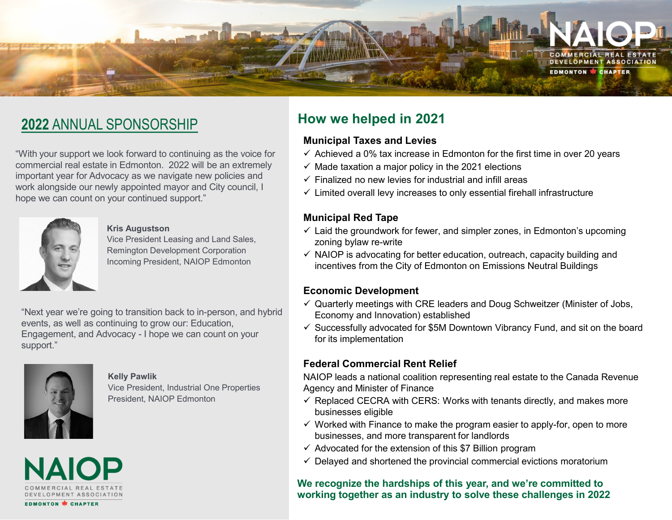

# **2022** ANNUAL SPONSORSHIP

"With your support we look forward to continuing as the voice for commercial real estate in Edmonton. 2022 will be an extremely important year for Advocacy as we navigate new policies and work alongside our newly appointed mayor and City council, I hope we can count on your continued support."



#### **Kris Augustson**

Vice President Leasing and Land Sales, Remington Development Corporation Incoming President, NAIOP Edmonton

"Next year we're going to transition back to in-person, and hybrid events, as well as continuing to grow our: Education, Engagement, and Advocacy - I hope we can count on your support."



#### **Kelly Pawlik**

Vice President, Industrial One Properties President, NAIOP Edmonton



# **How we helped in 2021**

## **Municipal Taxes and Levies**

- $\checkmark$  Achieved a 0% tax increase in Edmonton for the first time in over 20 years
- $\checkmark$  Made taxation a major policy in the 2021 elections
- $\checkmark$  Finalized no new levies for industrial and infill areas
- $\checkmark$  Limited overall levy increases to only essential firehall infrastructure

## **Municipal Red Tape**

- $\checkmark$  Laid the groundwork for fewer, and simpler zones, in Edmonton's upcoming zoning bylaw re-write
- $\checkmark$  NAIOP is advocating for better education, outreach, capacity building and incentives from the City of Edmonton on Emissions Neutral Buildings

## **Economic Development**

- $\checkmark$  Quarterly meetings with CRE leaders and Doug Schweitzer (Minister of Jobs, Economy and Innovation) established
- $\checkmark$  Successfully advocated for \$5M Downtown Vibrancy Fund, and sit on the board for its implementation

## **Federal Commercial Rent Relief**

NAIOP leads a national coalition representing real estate to the Canada Revenue Agency and Minister of Finance

- $\checkmark$  Replaced CECRA with CERS: Works with tenants directly, and makes more businesses eligible
- $\checkmark$  Worked with Finance to make the program easier to apply-for, open to more businesses, and more transparent for landlords
- $\checkmark$  Advocated for the extension of this \$7 Billion program
- $\checkmark$  Delayed and shortened the provincial commercial evictions moratorium

### **We recognize the hardships of this year, and we're committed to working together as an industry to solve these challenges in 2022**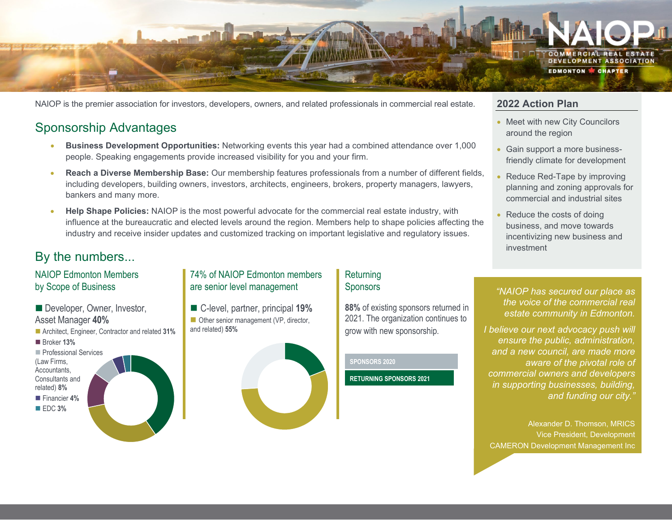

NAIOP is the premier association for investors, developers, owners, and related professionals in commercial real estate.

# Sponsorship Advantages

- **Business Development Opportunities:** Networking events this year had a combined attendance over 1,000 people. Speaking engagements provide increased visibility for you and your firm.
- **Reach a Diverse Membership Base:** Our membership features professionals from a number of different fields, including developers, building owners, investors, architects, engineers, brokers, property managers, lawyers, bankers and many more.
- **Help Shape Policies:** NAIOP is the most powerful advocate for the commercial real estate industry, with influence at the bureaucratic and elected levels around the region. Members help to shape policies affecting the industry and receive insider updates and customized tracking on important legislative and regulatory issues.

# By the numbers...

## NAIOP Edmonton Members by Scope of Business

■ Developer, Owner, Investor, Notelly and C-level, partner, principal 19% Notellasting sponsors returned in Notellasting Community in Edmonton Asset Manager **40%** Architect, Engineer, Contractor and related **31%** ■ Broker **13% Professional Services** (Law Firms, Accountants, Consultants and related) **8%** Financier **4%** EDC **3%**

## 74% of NAIOP Edmonton members are senior level management

■ Other senior management (VP, director, and related) **55%**

#### **Returning** Sponsors

**88%** of existing sponsors returned in 2021. The organization continues to grow with new sponsorship.

#### **SPONSORS 2020**

**RETURNING SPONSORS 2021**

## **2022 Action Plan**

- Meet with new City Councilors around the region
- Gain support a more businessfriendly climate for development
- Reduce Red-Tape by improving planning and zoning approvals for commercial and industrial sites
- Reduce the costs of doing business, and move towards incentivizing new business and investment
- *"NAIOP has secured our place as the voice of the commercial real estate community in Edmonton.*
- *I believe our next advocacy push will ensure the public, administration, and a new council, are made more aware of the pivotal role of commercial owners and developers in supporting businesses, building, and funding our city."*

Alexander D. Thomson, MRICS Vice President, Development CAMERON Development Management Inc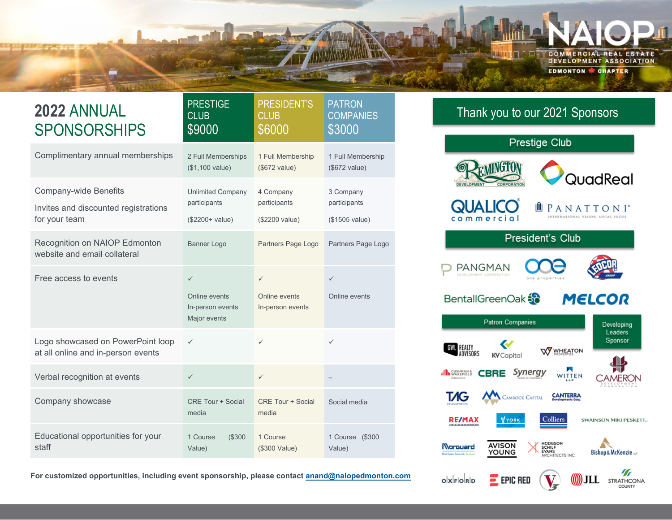

| <b>2022 ANNUAL</b><br><b>SPONSORSHIPS</b>                                             | <b>PRESTIGE</b><br><b>CLUB</b><br>\$9000                          | <b>PRESIDENT'S</b><br><b>CLUB</b><br>\$6000       | <b>PATRON</b><br><b>COMPANIES</b><br>\$3000 |
|---------------------------------------------------------------------------------------|-------------------------------------------------------------------|---------------------------------------------------|---------------------------------------------|
| Complimentary annual memberships                                                      | 2 Full Memberships<br>(\$1,100 value)                             | 1 Full Membership<br>(\$672 value)                | 1 Full Membership<br>(\$672 value)          |
| <b>Company-wide Benefits</b><br>Invites and discounted registrations<br>for your team | <b>Unlimited Company</b><br>participants<br>(\$2200+ value)       | 4 Company<br>participants<br>(\$2200 value)       | 3 Company<br>participants<br>(\$1505 value) |
| Recognition on NAIOP Edmonton<br>website and email collateral                         | <b>Banner Logo</b>                                                | Partners Page Logo                                | Partners Page Logo                          |
| Free access to events                                                                 | $\checkmark$<br>Online events<br>In-person events<br>Major events | $\checkmark$<br>Online events<br>In-person events | $\checkmark$<br>Online events               |
| Logo showcased on PowerPoint loop<br>at all online and in-person events               | $\checkmark$                                                      | $\checkmark$                                      | $\checkmark$                                |
| Verbal recognition at events                                                          | $\checkmark$                                                      | $\checkmark$                                      |                                             |
| Company showcase                                                                      | <b>CRE Tour + Social</b><br>media                                 | <b>CRE Tour + Social</b><br>media                 | Social media                                |
| Educational opportunities for your<br>staff                                           | 1 Course<br>(\$300<br>Value)                                      | 1 Course<br>(\$300 Value)                         | 1 Course (\$300<br>Value)                   |

**For customized opportunities, including event sponsorship, please contact anand@naiopedmonton.com**